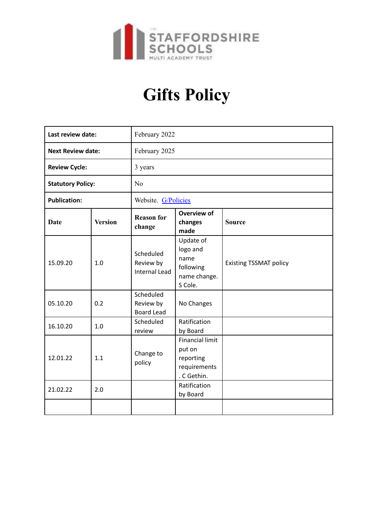

## **Gifts Policy**

| Last review date:        |                | February 2022                                  |                                                                              |                               |
|--------------------------|----------------|------------------------------------------------|------------------------------------------------------------------------------|-------------------------------|
| <b>Next Review date:</b> |                | February 2025                                  |                                                                              |                               |
| <b>Review Cycle:</b>     |                | 3 years                                        |                                                                              |                               |
| <b>Statutory Policy:</b> |                | N <sub>o</sub>                                 |                                                                              |                               |
| <b>Publication:</b>      |                | Website. G/Policies                            |                                                                              |                               |
| <b>Date</b>              | <b>Version</b> | <b>Reason for</b><br>change                    | <b>Overview of</b><br>changes<br>made                                        | <b>Source</b>                 |
| 15.09.20                 | 1.0            | Scheduled<br>Review by<br><b>Internal Lead</b> | Update of<br>logo and<br>name<br>following<br>name change.<br>S Cole.        | <b>Existing TSSMAT policy</b> |
| 05.10.20                 | 0.2            | Scheduled<br>Review by<br><b>Board Lead</b>    | No Changes                                                                   |                               |
| 16.10.20                 | 1.0            | Scheduled<br>review                            | Ratification<br>by Board                                                     |                               |
| 12.01.22                 | 1.1            | Change to<br>policy                            | <b>Financial limit</b><br>put on<br>reporting<br>requirements<br>. C Gethin. |                               |
| 21.02.22                 | 2.0            |                                                | Ratification<br>by Board                                                     |                               |
|                          |                |                                                |                                                                              |                               |